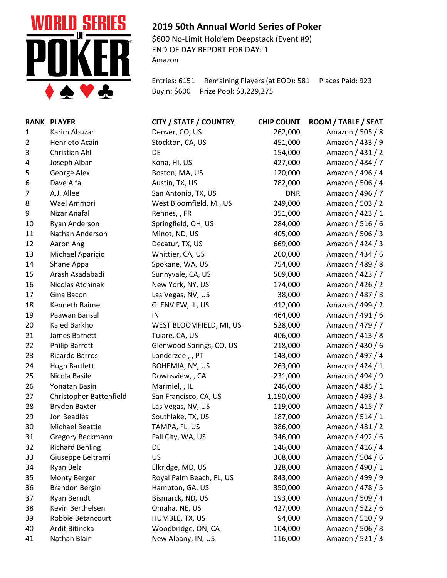

## **2019 50th Annual World Series of Poker**

\$600 No-Limit Hold'em Deepstack (Event #9) END OF DAY REPORT FOR DAY: 1 Amazon

Entries: 6151 Remaining Players (at EOD): 581 Places Paid: 923 Buyin: \$600 Prize Pool: \$3,229,275

| <b>RANK</b> | <b>PLAYER</b>           | <b>CITY / STATE / COUNTRY</b> | <b>CHIP COUNT</b> | ROOM / TABLE / SEAT |
|-------------|-------------------------|-------------------------------|-------------------|---------------------|
| 1           | Karim Abuzar            | Denver, CO, US                | 262,000           | Amazon / 505 / 8    |
| 2           | Henrieto Acain          | Stockton, CA, US              | 451,000           | Amazon / 433 / 9    |
| 3           | Christian Ahl           | DE                            | 154,000           | Amazon / 431 / 2    |
| 4           | Joseph Alban            | Kona, HI, US                  | 427,000           | Amazon / 484 / 7    |
| 5           | George Alex             | Boston, MA, US                | 120,000           | Amazon / 496 / 4    |
| 6           | Dave Alfa               | Austin, TX, US                | 782,000           | Amazon / 506 / 4    |
| 7           | A.J. Allee              | San Antonio, TX, US           | <b>DNR</b>        | Amazon / 496 / 7    |
| 8           | Wael Ammori             | West Bloomfield, MI, US       | 249,000           | Amazon / 503 / 2    |
| 9           | Nizar Anafal            | Rennes,, FR                   | 351,000           | Amazon / 423 / 1    |
| 10          | Ryan Anderson           | Springfield, OH, US           | 284,000           | Amazon / 516 / 6    |
| 11          | Nathan Anderson         | Minot, ND, US                 | 405,000           | Amazon / 506 / 3    |
| 12          | Aaron Ang               | Decatur, TX, US               | 669,000           | Amazon / 424 / 3    |
| 13          | Michael Aparicio        | Whittier, CA, US              | 200,000           | Amazon / 434 / 6    |
| 14          | Shane Appa              | Spokane, WA, US               | 754,000           | Amazon / 489 / 8    |
| 15          | Arash Asadabadi         | Sunnyvale, CA, US             | 509,000           | Amazon / 423 / 7    |
| 16          | Nicolas Atchinak        | New York, NY, US              | 174,000           | Amazon / 426 / 2    |
| 17          | Gina Bacon              | Las Vegas, NV, US             | 38,000            | Amazon / 487 / 8    |
| 18          | Kenneth Baime           | GLENVIEW, IL, US              | 412,000           | Amazon / 499 / 2    |
| 19          | Paawan Bansal           | IN                            | 464,000           | Amazon / 491 / 6    |
| 20          | Kaied Barkho            | WEST BLOOMFIELD, MI, US       | 528,000           | Amazon / 479 / 7    |
| 21          | James Barnett           | Tulare, CA, US                | 406,000           | Amazon / 413 / 8    |
| 22          | <b>Philip Barrett</b>   | Glenwood Springs, CO, US      | 218,000           | Amazon / 430 / 6    |
| 23          | Ricardo Barros          | Londerzeel, , PT              | 143,000           | Amazon / 497 / 4    |
| 24          | <b>Hugh Bartlett</b>    | BOHEMIA, NY, US               | 263,000           | Amazon / 424 / 1    |
| 25          | Nicola Basile           | Downsview, , CA               | 231,000           | Amazon / 494 / 9    |
| 26          | Yonatan Basin           | Marmiel, , IL                 | 246,000           | Amazon / 485 / 1    |
| 27          | Christopher Battenfield | San Francisco, CA, US         | 1,190,000         | Amazon / 493 / 3    |
| 28          | <b>Bryden Baxter</b>    | Las Vegas, NV, US             | 119,000           | Amazon / 415 / 7    |
| 29          | Jon Beadles             | Southlake, TX, US             | 187,000           | Amazon / 514 / 1    |
| 30          | <b>Michael Beattie</b>  | TAMPA, FL, US                 | 386,000           | Amazon / 481 / 2    |
| 31          | Gregory Beckmann        | Fall City, WA, US             | 346,000           | Amazon / 492 / 6    |
| 32          | <b>Richard Behling</b>  | DE                            | 146,000           | Amazon / 416 / 4    |
| 33          | Giuseppe Beltrami       | US                            | 368,000           | Amazon / 504 / 6    |
| 34          | Ryan Belz               | Elkridge, MD, US              | 328,000           | Amazon / 490 / 1    |
| 35          | <b>Monty Berger</b>     | Royal Palm Beach, FL, US      | 843,000           | Amazon / 499 / 9    |
| 36          | <b>Brandon Bergin</b>   | Hampton, GA, US               | 350,000           | Amazon / 478 / 5    |
| 37          | Ryan Berndt             | Bismarck, ND, US              | 193,000           | Amazon / 509 / 4    |
| 38          | Kevin Berthelsen        | Omaha, NE, US                 | 427,000           | Amazon / 522 / 6    |
| 39          | Robbie Betancourt       | HUMBLE, TX, US                | 94,000            | Amazon / 510 / 9    |
| 40          | Ardit Bitincka          | Woodbridge, ON, CA            | 104,000           | Amazon / 506 / 8    |
| 41          | Nathan Blair            | New Albany, IN, US            | 116,000           | Amazon / 521 / 3    |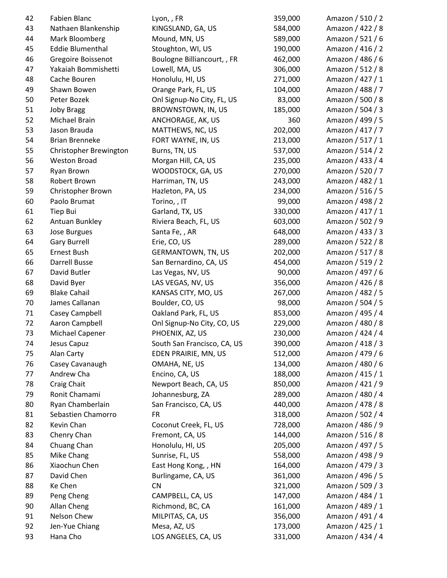| 42 | Fabien Blanc            | Lyon, , FR                  | 359,000 | Amazon / 510 / 2                     |
|----|-------------------------|-----------------------------|---------|--------------------------------------|
| 43 | Nathaen Blankenship     | KINGSLAND, GA, US           | 584,000 | Amazon / 422 / 8                     |
| 44 | Mark Bloomberg          | Mound, MN, US               | 589,000 | Amazon / 521 / 6                     |
| 45 | <b>Eddie Blumenthal</b> | Stoughton, WI, US           | 190,000 | Amazon / 416 / 2                     |
| 46 | Gregoire Boissenot      | Boulogne Billiancourt, , FR | 462,000 | Amazon / 486 / 6                     |
| 47 | Yakaiah Bommishetti     | Lowell, MA, US              | 306,000 | Amazon / 512 / 8                     |
| 48 | Cache Bouren            | Honolulu, HI, US            | 271,000 | Amazon / 427 / 1                     |
| 49 | Shawn Bowen             | Orange Park, FL, US         | 104,000 | Amazon / 488 / 7                     |
| 50 | Peter Bozek             | Onl Signup-No City, FL, US  | 83,000  | Amazon / 500 / 8                     |
| 51 | <b>Joby Bragg</b>       | BROWNSTOWN, IN, US          | 185,000 | Amazon / 504 / 3                     |
| 52 | Michael Brain           | ANCHORAGE, AK, US           | 360     | Amazon / 499 / 5                     |
| 53 | Jason Brauda            | MATTHEWS, NC, US            | 202,000 | Amazon / 417 / 7                     |
| 54 | <b>Brian Brenneke</b>   | FORT WAYNE, IN, US          | 213,000 | Amazon / 517 / 1                     |
| 55 | Christopher Brewington  | Burns, TN, US               | 537,000 | Amazon / 514 / 2                     |
| 56 | <b>Weston Broad</b>     | Morgan Hill, CA, US         | 235,000 | Amazon / 433 / 4                     |
| 57 | Ryan Brown              | WOODSTOCK, GA, US           | 270,000 | Amazon / 520 / 7                     |
| 58 | Robert Brown            | Harriman, TN, US            | 243,000 | Amazon / 482 / 1                     |
| 59 | Christopher Brown       | Hazleton, PA, US            | 234,000 | Amazon / 516 / 5                     |
| 60 | Paolo Brumat            | Torino, , IT                | 99,000  | Amazon / 498 / 2                     |
| 61 | Tiep Bui                | Garland, TX, US             | 330,000 | Amazon / 417 / 1                     |
| 62 | Antuan Bunkley          | Riviera Beach, FL, US       | 603,000 | Amazon / 502 / 9                     |
| 63 | Jose Burgues            | Santa Fe, , AR              | 648,000 | Amazon / 433 / 3                     |
| 64 | <b>Gary Burrell</b>     | Erie, CO, US                | 289,000 | Amazon / 522 / 8                     |
| 65 | Ernest Bush             | <b>GERMANTOWN, TN, US</b>   | 202,000 | Amazon / 517 / 8                     |
| 66 | Darrell Busse           | San Bernardino, CA, US      | 454,000 | Amazon / 519 / 2                     |
| 67 | David Butler            | Las Vegas, NV, US           | 90,000  | Amazon / 497 / 6                     |
| 68 | David Byer              | LAS VEGAS, NV, US           | 356,000 | Amazon / 426 / 8                     |
| 69 | <b>Blake Cahail</b>     | KANSAS CITY, MO, US         | 267,000 | Amazon / 482 / 5                     |
| 70 | James Callanan          | Boulder, CO, US             |         | Amazon / 504 / 5                     |
|    |                         |                             | 98,000  | Amazon / 495 / 4                     |
| 71 | Casey Campbell          | Oakland Park, FL, US        | 853,000 |                                      |
| 72 | Aaron Campbell          | Onl Signup-No City, CO, US  | 229,000 | Amazon / 480 / 8                     |
| 73 | Michael Capener         | PHOENIX, AZ, US             | 230,000 | Amazon / 424 / 4<br>Amazon / 418 / 3 |
| 74 | Jesus Capuz             | South San Francisco, CA, US | 390,000 |                                      |
| 75 | Alan Carty              | EDEN PRAIRIE, MN, US        | 512,000 | Amazon / 479 / 6                     |
| 76 | Casey Cavanaugh         | OMAHA, NE, US               | 134,000 | Amazon / 480 / 6                     |
| 77 | Andrew Cha              | Encino, CA, US              | 188,000 | Amazon / 415 / 1                     |
| 78 | Craig Chait             | Newport Beach, CA, US       | 850,000 | Amazon / 421 / 9                     |
| 79 | Ronit Chamami           | Johannesburg, ZA            | 289,000 | Amazon / 480 / 4                     |
| 80 | Ryan Chamberlain        | San Francisco, CA, US       | 440,000 | Amazon / 478 / 8                     |
| 81 | Sebastien Chamorro      | <b>FR</b>                   | 318,000 | Amazon / 502 / 4                     |
| 82 | Kevin Chan              | Coconut Creek, FL, US       | 728,000 | Amazon / 486 / 9                     |
| 83 | Chenry Chan             | Fremont, CA, US             | 144,000 | Amazon / 516 / 8                     |
| 84 | Chuang Chan             | Honolulu, HI, US            | 205,000 | Amazon / 497 / 5                     |
| 85 | Mike Chang              | Sunrise, FL, US             | 558,000 | Amazon / 498 / 9                     |
| 86 | Xiaochun Chen           | East Hong Kong, , HN        | 164,000 | Amazon / 479 / 3                     |
| 87 | David Chen              | Burlingame, CA, US          | 361,000 | Amazon / 496 / 5                     |
| 88 | Ke Chen                 | <b>CN</b>                   | 321,000 | Amazon / 509 / 3                     |
| 89 | Peng Cheng              | CAMPBELL, CA, US            | 147,000 | Amazon / 484 / 1                     |
| 90 | Allan Cheng             | Richmond, BC, CA            | 161,000 | Amazon / 489 / 1                     |
| 91 | Nelson Chew             | MILPITAS, CA, US            | 356,000 | Amazon / 491 / 4                     |
| 92 | Jen-Yue Chiang          | Mesa, AZ, US                | 173,000 | Amazon / 425 / 1                     |
| 93 | Hana Cho                | LOS ANGELES, CA, US         | 331,000 | Amazon / 434 / 4                     |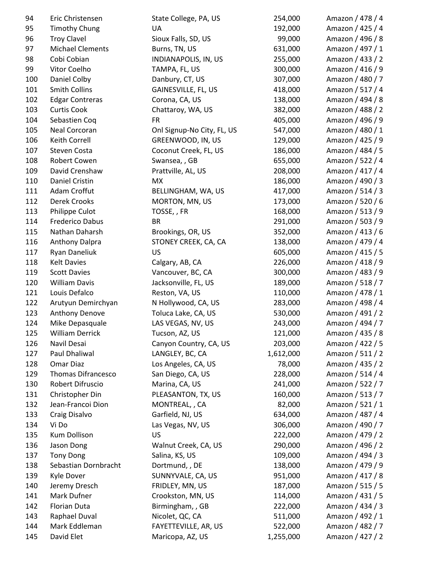| 94  | Eric Christensen          | State College, PA, US      | 254,000   | Amazon / 478 / 4 |
|-----|---------------------------|----------------------------|-----------|------------------|
| 95  | <b>Timothy Chung</b>      | UA                         | 192,000   | Amazon / 425 / 4 |
| 96  | <b>Troy Clavel</b>        | Sioux Falls, SD, US        | 99,000    | Amazon / 496 / 8 |
| 97  | <b>Michael Clements</b>   | Burns, TN, US              | 631,000   | Amazon / 497 / 1 |
| 98  | Cobi Cobian               | INDIANAPOLIS, IN, US       | 255,000   | Amazon / 433 / 2 |
| 99  | Vitor Coelho              | TAMPA, FL, US              | 300,000   | Amazon / 416 / 9 |
| 100 | Daniel Colby              | Danbury, CT, US            | 307,000   | Amazon / 480 / 7 |
| 101 | <b>Smith Collins</b>      | GAINESVILLE, FL, US        | 418,000   | Amazon / 517 / 4 |
| 102 | <b>Edgar Contreras</b>    | Corona, CA, US             | 138,000   | Amazon / 494 / 8 |
| 103 | <b>Curtis Cook</b>        | Chattaroy, WA, US          | 382,000   | Amazon / 488 / 2 |
| 104 | Sebastien Coq             | <b>FR</b>                  | 405,000   | Amazon / 496 / 9 |
| 105 | Neal Corcoran             | Onl Signup-No City, FL, US | 547,000   | Amazon / 480 / 1 |
| 106 | Keith Correll             | GREENWOOD, IN, US          | 129,000   | Amazon / 425 / 9 |
| 107 | Steven Costa              | Coconut Creek, FL, US      | 186,000   | Amazon / 484 / 5 |
| 108 | Robert Cowen              | Swansea, , GB              | 655,000   | Amazon / 522 / 4 |
| 109 | David Crenshaw            | Prattville, AL, US         | 208,000   | Amazon / 417 / 4 |
| 110 | Daniel Cristin            | <b>MX</b>                  | 186,000   | Amazon / 490 / 3 |
| 111 | Adam Croffut              | BELLINGHAM, WA, US         | 417,000   | Amazon / 514 / 3 |
| 112 | Derek Crooks              | MORTON, MN, US             | 173,000   | Amazon / 520 / 6 |
| 113 | Philippe Culot            | TOSSE,, FR                 | 168,000   | Amazon / 513 / 9 |
| 114 | Frederico Dabus           | <b>BR</b>                  | 291,000   | Amazon / 503 / 9 |
| 115 | Nathan Daharsh            | Brookings, OR, US          | 352,000   | Amazon / 413 / 6 |
| 116 | Anthony Dalpra            | STONEY CREEK, CA, CA       | 138,000   | Amazon / 479 / 4 |
| 117 | Ryan Daneliuk             | <b>US</b>                  | 605,000   | Amazon / 415 / 5 |
| 118 | <b>Kelt Davies</b>        | Calgary, AB, CA            | 226,000   | Amazon / 418 / 9 |
| 119 | <b>Scott Davies</b>       | Vancouver, BC, CA          | 300,000   | Amazon / 483 / 9 |
| 120 | <b>William Davis</b>      | Jacksonville, FL, US       | 189,000   | Amazon / 518 / 7 |
| 121 | Louis Defalco             | Reston, VA, US             | 110,000   | Amazon / 478 / 1 |
| 122 | Arutyun Demirchyan        | N Hollywood, CA, US        | 283,000   | Amazon / 498 / 4 |
| 123 | Anthony Denove            | Toluca Lake, CA, US        | 530,000   | Amazon / 491 / 2 |
| 124 | Mike Depasquale           | LAS VEGAS, NV, US          | 243,000   | Amazon / 494 / 7 |
| 125 | <b>William Derrick</b>    | Tucson, AZ, US             | 121,000   | Amazon / 435 / 8 |
| 126 | Navil Desai               | Canyon Country, CA, US     | 203,000   | Amazon / 422 / 5 |
| 127 | Paul Dhaliwal             | LANGLEY, BC, CA            | 1,612,000 | Amazon / 511 / 2 |
| 128 | Omar Diaz                 | Los Angeles, CA, US        | 78,000    | Amazon / 435 / 2 |
| 129 | <b>Thomas Difrancesco</b> | San Diego, CA, US          | 228,000   | Amazon / 514 / 4 |
|     | Robert Difruscio          |                            | 241,000   |                  |
| 130 |                           | Marina, CA, US             |           | Amazon / 522 / 7 |
| 131 | Christopher Din           | PLEASANTON, TX, US         | 160,000   | Amazon / 513 / 7 |
| 132 | Jean-Francoi Dion         | MONTREAL, , CA             | 82,000    | Amazon / 521 / 1 |
| 133 | Craig Disalvo             | Garfield, NJ, US           | 634,000   | Amazon / 487 / 4 |
| 134 | Vi Do                     | Las Vegas, NV, US          | 306,000   | Amazon / 490 / 7 |
| 135 | Kum Dollison              | US                         | 222,000   | Amazon / 479 / 2 |
| 136 | Jason Dong                | Walnut Creek, CA, US       | 290,000   | Amazon / 496 / 2 |
| 137 | <b>Tony Dong</b>          | Salina, KS, US             | 109,000   | Amazon / 494 / 3 |
| 138 | Sebastian Dornbracht      | Dortmund, , DE             | 138,000   | Amazon / 479 / 9 |
| 139 | Kyle Dover                | SUNNYVALE, CA, US          | 951,000   | Amazon / 417 / 8 |
| 140 | Jeremy Dresch             | FRIDLEY, MN, US            | 187,000   | Amazon / 515 / 5 |
| 141 | Mark Dufner               | Crookston, MN, US          | 114,000   | Amazon / 431 / 5 |
| 142 | Florian Duta              | Birmingham, , GB           | 222,000   | Amazon / 434 / 3 |
| 143 | Raphael Duval             | Nicolet, QC, CA            | 511,000   | Amazon / 492 / 1 |
| 144 | Mark Eddleman             | FAYETTEVILLE, AR, US       | 522,000   | Amazon / 482 / 7 |
| 145 | David Elet                | Maricopa, AZ, US           | 1,255,000 | Amazon / 427 / 2 |
|     |                           |                            |           |                  |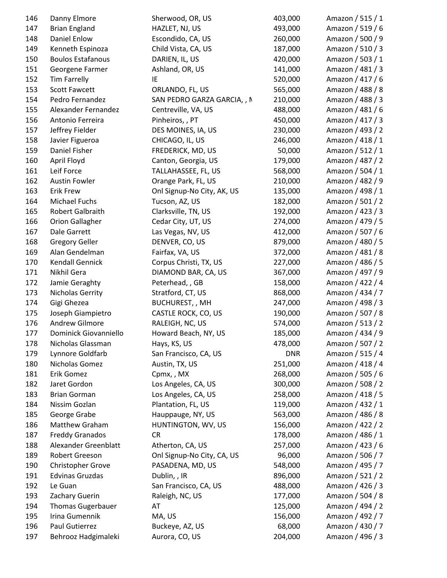| 146 | Danny Elmore             | Sherwood, OR, US            | 403,000    | Amazon / 515 / 1 |
|-----|--------------------------|-----------------------------|------------|------------------|
| 147 | <b>Brian England</b>     | HAZLET, NJ, US              | 493,000    | Amazon / 519 / 6 |
| 148 | <b>Daniel Enlow</b>      | Escondido, CA, US           | 260,000    | Amazon / 500 / 9 |
| 149 | Kenneth Espinoza         | Child Vista, CA, US         | 187,000    | Amazon / 510 / 3 |
| 150 | <b>Boulos Estafanous</b> | DARIEN, IL, US              | 420,000    | Amazon / 503 / 1 |
| 151 | Georgene Farmer          | Ashland, OR, US             | 141,000    | Amazon / 481 / 3 |
| 152 | <b>Tim Farrelly</b>      | IE                          | 520,000    | Amazon / 417 / 6 |
| 153 | <b>Scott Fawcett</b>     | ORLANDO, FL, US             | 565,000    | Amazon / 488 / 8 |
| 154 | Pedro Fernandez          | SAN PEDRO GARZA GARCIA, , N | 210,000    | Amazon / 488 / 3 |
| 155 | Alexander Fernandez      | Centreville, VA, US         | 488,000    | Amazon / 481 / 6 |
| 156 | Antonio Ferreira         | Pinheiros, , PT             | 450,000    | Amazon / 417 / 3 |
| 157 | Jeffrey Fielder          | DES MOINES, IA, US          | 230,000    | Amazon / 493 / 2 |
| 158 | Javier Figueroa          | CHICAGO, IL, US             | 246,000    | Amazon / 418 / 1 |
| 159 | Daniel Fisher            | FREDERICK, MD, US           | 50,000     | Amazon / 512 / 1 |
| 160 | April Floyd              | Canton, Georgia, US         | 179,000    | Amazon / 487 / 2 |
| 161 | Leif Force               | TALLAHASSEE, FL, US         | 568,000    | Amazon / 504 / 1 |
| 162 | <b>Austin Fowler</b>     | Orange Park, FL, US         | 210,000    | Amazon / 482 / 9 |
| 163 | <b>Erik Frew</b>         | Onl Signup-No City, AK, US  | 135,000    | Amazon / 498 / 1 |
| 164 | Michael Fuchs            | Tucson, AZ, US              | 182,000    | Amazon / 501 / 2 |
| 165 | Robert Galbraith         | Clarksville, TN, US         | 192,000    | Amazon / 423 / 3 |
| 166 | <b>Orion Gallagher</b>   | Cedar City, UT, US          | 274,000    | Amazon / 479 / 5 |
| 167 | Dale Garrett             | Las Vegas, NV, US           | 412,000    | Amazon / 507 / 6 |
| 168 | <b>Gregory Geller</b>    | DENVER, CO, US              | 879,000    | Amazon / 480 / 5 |
| 169 | Alan Gendelman           | Fairfax, VA, US             | 372,000    | Amazon / 481 / 8 |
| 170 | Kendall Gennick          | Corpus Christi, TX, US      | 227,000    | Amazon / 486 / 5 |
| 171 | Nikhil Gera              | DIAMOND BAR, CA, US         | 367,000    | Amazon / 497 / 9 |
| 172 | Jamie Geraghty           | Peterhead, , GB             | 158,000    | Amazon / 422 / 4 |
| 173 | Nicholas Gerrity         | Stratford, CT, US           | 868,000    | Amazon / 434 / 7 |
| 174 | Gigi Ghezea              | BUCHUREST, , MH             | 247,000    | Amazon / 498 / 3 |
| 175 | Joseph Giampietro        | CASTLE ROCK, CO, US         | 190,000    | Amazon / 507 / 8 |
| 176 | Andrew Gilmore           | RALEIGH, NC, US             | 574,000    | Amazon / 513 / 2 |
| 177 | Dominick Giovanniello    | Howard Beach, NY, US        | 185,000    | Amazon / 434 / 9 |
| 178 | Nicholas Glassman        | Hays, KS, US                | 478,000    | Amazon / 507 / 2 |
| 179 | Lynnore Goldfarb         | San Francisco, CA, US       | <b>DNR</b> | Amazon / 515 / 4 |
| 180 | Nicholas Gomez           | Austin, TX, US              | 251,000    | Amazon / 418 / 4 |
| 181 | Erik Gomez               | Cpmx,, MX                   | 268,000    | Amazon / 505 / 6 |
| 182 | Jaret Gordon             | Los Angeles, CA, US         | 300,000    | Amazon / 508 / 2 |
| 183 | <b>Brian Gorman</b>      | Los Angeles, CA, US         | 258,000    | Amazon / 418 / 5 |
| 184 | Nissim Gozlan            | Plantation, FL, US          | 119,000    | Amazon / 432 / 1 |
| 185 | George Grabe             | Hauppauge, NY, US           | 563,000    | Amazon / 486 / 8 |
| 186 | Matthew Graham           | HUNTINGTON, WV, US          | 156,000    | Amazon / 422 / 2 |
| 187 | <b>Freddy Granados</b>   | <b>CR</b>                   | 178,000    | Amazon / 486 / 1 |
| 188 | Alexander Greenblatt     | Atherton, CA, US            | 257,000    | Amazon / 423 / 6 |
| 189 | Robert Greeson           | Onl Signup-No City, CA, US  | 96,000     | Amazon / 506 / 7 |
| 190 | <b>Christopher Grove</b> | PASADENA, MD, US            | 548,000    | Amazon / 495 / 7 |
| 191 | <b>Edvinas Gruzdas</b>   | Dublin, , IR                | 896,000    | Amazon / 521 / 2 |
| 192 | Le Guan                  | San Francisco, CA, US       | 488,000    | Amazon / 426 / 3 |
| 193 | Zachary Guerin           | Raleigh, NC, US             | 177,000    | Amazon / 504 / 8 |
| 194 | <b>Thomas Gugerbauer</b> | AT                          | 125,000    | Amazon / 494 / 2 |
| 195 | Irina Gumennik           | MA, US                      | 156,000    | Amazon / 492 / 7 |
| 196 | Paul Gutierrez           | Buckeye, AZ, US             | 68,000     | Amazon / 430 / 7 |
| 197 | Behrooz Hadgimaleki      | Aurora, CO, US              | 204,000    | Amazon / 496 / 3 |
|     |                          |                             |            |                  |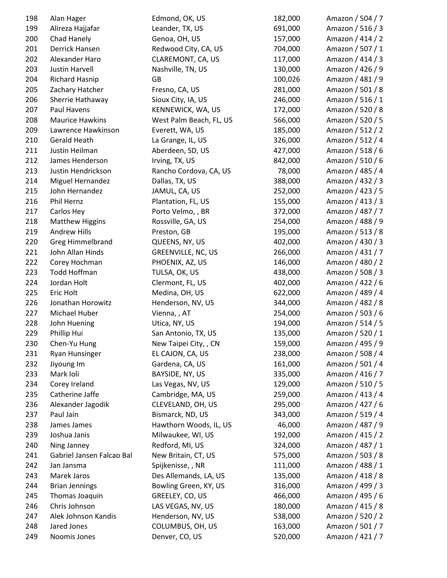| 198 | Alan Hager                | Edmond, OK, US            | 182,000 | Amazon / 504 / 7 |
|-----|---------------------------|---------------------------|---------|------------------|
| 199 | Alireza Hajjafar          | Leander, TX, US           | 691,000 | Amazon / 516 / 3 |
| 200 | Chad Hanely               | Genoa, OH, US             | 157,000 | Amazon / 414 / 2 |
| 201 | Derrick Hansen            | Redwood City, CA, US      | 704,000 | Amazon / 507 / 1 |
| 202 | Alexander Haro            | CLAREMONT, CA, US         | 117,000 | Amazon / 414 / 3 |
| 203 | <b>Justin Harvell</b>     | Nashville, TN, US         | 130,000 | Amazon / 426 / 9 |
| 204 | <b>Richard Hasnip</b>     | GB                        | 100,026 | Amazon / 481 / 9 |
| 205 | Zachary Hatcher           | Fresno, CA, US            | 281,000 | Amazon / 501 / 8 |
| 206 | Sherrie Hathaway          | Sioux City, IA, US        | 246,000 | Amazon / 516 / 1 |
| 207 | Paul Havens               | KENNEWICK, WA, US         | 172,000 | Amazon / 520 / 8 |
| 208 | <b>Maurice Hawkins</b>    | West Palm Beach, FL, US   | 566,000 | Amazon / 520 / 5 |
| 209 | Lawrence Hawkinson        | Everett, WA, US           | 185,000 | Amazon / 512 / 2 |
| 210 | Gerald Heath              | La Grange, IL, US         | 326,000 | Amazon / 512 / 4 |
| 211 | Justin Heilman            | Aberdeen, SD, US          | 427,000 | Amazon / 518 / 6 |
| 212 | James Henderson           | Irving, TX, US            | 842,000 | Amazon / 510 / 6 |
| 213 | Justin Hendrickson        | Rancho Cordova, CA, US    | 78,000  | Amazon / 485 / 4 |
| 214 | Miguel Hernandez          | Dallas, TX, US            | 388,000 | Amazon / 432 / 3 |
| 215 | John Hernandez            | JAMUL, CA, US             | 252,000 | Amazon / 423 / 5 |
| 216 | Phil Hernz                | Plantation, FL, US        | 155,000 | Amazon / 413 / 3 |
| 217 | Carlos Hey                | Porto Velmo, , BR         | 372,000 | Amazon / 487 / 7 |
| 218 | <b>Matthew Higgins</b>    | Rossville, GA, US         | 254,000 | Amazon / 488 / 9 |
| 219 | <b>Andrew Hills</b>       | Preston, GB               | 195,000 | Amazon / 513 / 8 |
| 220 | <b>Greg Himmelbrand</b>   | QUEENS, NY, US            | 402,000 | Amazon / 430 / 3 |
| 221 | John Allan Hinds          | <b>GREENVILLE, NC, US</b> | 266,000 | Amazon / 431 / 7 |
| 222 | Corey Hochman             | PHOENIX, AZ, US           | 146,000 | Amazon / 480 / 2 |
| 223 | <b>Todd Hoffman</b>       | TULSA, OK, US             | 438,000 | Amazon / 508 / 3 |
| 224 | Jordan Holt               | Clermont, FL, US          | 402,000 | Amazon / 422 / 6 |
| 225 | Eric Holt                 | Medina, OH, US            | 622,000 | Amazon / 489 / 4 |
| 226 | Jonathan Horowitz         | Henderson, NV, US         | 344,000 | Amazon / 482 / 8 |
| 227 | Michael Huber             | Vienna, , AT              | 254,000 | Amazon / 503 / 6 |
| 228 | John Huening              | Utica, NY, US             | 194,000 | Amazon / 514 / 5 |
| 229 | Phillip Hui               | San Antonio, TX, US       | 135,000 | Amazon / 520 / 1 |
| 230 | Chen-Yu Hung              | New Taipei City, , CN     | 159,000 | Amazon / 495 / 9 |
| 231 | Ryan Hunsinger            | EL CAJON, CA, US          | 238,000 | Amazon / 508 / 4 |
| 232 | Jiyoung Im                | Gardena, CA, US           | 161,000 | Amazon / 501 / 4 |
| 233 | Mark Ioli                 | BAYSIDE, NY, US           | 335,000 | Amazon / 416 / 7 |
| 234 | Corey Ireland             | Las Vegas, NV, US         | 129,000 | Amazon / 510 / 5 |
| 235 | Catherine Jaffe           | Cambridge, MA, US         | 259,000 | Amazon / 413 / 4 |
| 236 | Alexander Jagodik         | CLEVELAND, OH, US         | 295,000 | Amazon / 427 / 6 |
| 237 | Paul Jain                 | Bismarck, ND, US          | 343,000 | Amazon / 519 / 4 |
| 238 | James James               | Hawthorn Woods, IL, US    | 46,000  | Amazon / 487 / 9 |
| 239 | Joshua Janis              | Milwaukee, WI, US         | 192,000 | Amazon / 415 / 2 |
| 240 | Ning Janney               | Redford, MI, US           | 324,000 | Amazon / 487 / 1 |
| 241 | Gabriel Jansen Falcao Bal | New Britain, CT, US       | 575,000 | Amazon / 503 / 8 |
| 242 | Jan Jansma                | Spijkenisse, , NR         | 111,000 | Amazon / 488 / 1 |
| 243 | Marek Jaros               | Des Allemands, LA, US     | 135,000 | Amazon / 418 / 8 |
| 244 | <b>Brian Jennings</b>     | Bowling Green, KY, US     | 316,000 | Amazon / 499 / 3 |
| 245 | Thomas Joaquin            | GREELEY, CO, US           | 466,000 | Amazon / 495 / 6 |
| 246 | Chris Johnson             | LAS VEGAS, NV, US         | 180,000 | Amazon / 415 / 8 |
| 247 | Alek Johnson Kandis       | Henderson, NV, US         | 538,000 | Amazon / 520 / 2 |
| 248 | Jared Jones               | COLUMBUS, OH, US          | 163,000 | Amazon / 501 / 7 |
| 249 | Noomis Jones              | Denver, CO, US            | 520,000 | Amazon / 421 / 7 |
|     |                           |                           |         |                  |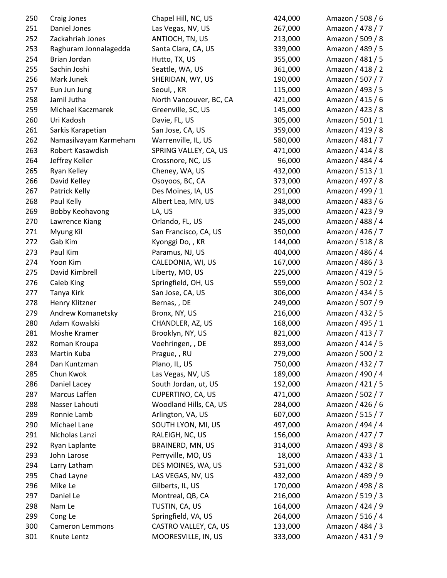| 250 | Craig Jones            | Chapel Hill, NC, US     | 424,000 | Amazon / 508 / 6 |
|-----|------------------------|-------------------------|---------|------------------|
| 251 | Daniel Jones           | Las Vegas, NV, US       | 267,000 | Amazon / 478 / 7 |
| 252 | Zackahriah Jones       | ANTIOCH, TN, US         | 213,000 | Amazon / 509 / 8 |
| 253 | Raghuram Jonnalagedda  | Santa Clara, CA, US     | 339,000 | Amazon / 489 / 5 |
| 254 | Brian Jordan           | Hutto, TX, US           | 355,000 | Amazon / 481 / 5 |
| 255 | Sachin Joshi           | Seattle, WA, US         | 361,000 | Amazon / 418 / 2 |
| 256 | Mark Junek             | SHERIDAN, WY, US        | 190,000 | Amazon / 507 / 7 |
| 257 | Eun Jun Jung           | Seoul,, KR              | 115,000 | Amazon / 493 / 5 |
| 258 | Jamil Jutha            | North Vancouver, BC, CA | 421,000 | Amazon / 415 / 6 |
| 259 | Michael Kaczmarek      | Greenville, SC, US      | 145,000 | Amazon / 423 / 8 |
| 260 | Uri Kadosh             | Davie, FL, US           | 305,000 | Amazon / 501 / 1 |
| 261 | Sarkis Karapetian      | San Jose, CA, US        | 359,000 | Amazon / 419 / 8 |
| 262 | Namasilvayam Karmeham  | Warrenville, IL, US     | 580,000 | Amazon / 481 / 7 |
| 263 | Robert Kasawdish       | SPRING VALLEY, CA, US   | 471,000 | Amazon / 414 / 8 |
| 264 | Jeffrey Keller         | Crossnore, NC, US       | 96,000  | Amazon / 484 / 4 |
| 265 | Ryan Kelley            | Cheney, WA, US          | 432,000 | Amazon / 513 / 1 |
| 266 | David Kelley           | Osoyoos, BC, CA         | 373,000 | Amazon / 497 / 8 |
| 267 | Patrick Kelly          | Des Moines, IA, US      | 291,000 | Amazon / 499 / 1 |
| 268 | Paul Kelly             | Albert Lea, MN, US      | 348,000 | Amazon / 483 / 6 |
| 269 | Bobby Keohavong        | LA, US                  | 335,000 | Amazon / 423 / 9 |
| 270 | Lawrence Kiang         | Orlando, FL, US         | 245,000 | Amazon / 488 / 4 |
| 271 | Myung Kil              | San Francisco, CA, US   | 350,000 | Amazon / 426 / 7 |
| 272 | Gab Kim                | Kyonggi Do, , KR        | 144,000 | Amazon / 518 / 8 |
| 273 | Paul Kim               | Paramus, NJ, US         | 404,000 | Amazon / 486 / 4 |
| 274 | Yoon Kim               | CALEDONIA, WI, US       | 167,000 | Amazon / 486 / 3 |
| 275 | David Kimbrell         | Liberty, MO, US         | 225,000 | Amazon / 419 / 5 |
| 276 | Caleb King             | Springfield, OH, US     | 559,000 | Amazon / 502 / 2 |
| 277 | Tanya Kirk             | San Jose, CA, US        | 306,000 | Amazon / 434 / 5 |
| 278 | Henry Klitzner         | Bernas,, DE             | 249,000 | Amazon / 507 / 9 |
| 279 | Andrew Komanetsky      | Bronx, NY, US           | 216,000 | Amazon / 432 / 5 |
| 280 | Adam Kowalski          | CHANDLER, AZ, US        | 168,000 | Amazon / 495 / 1 |
| 281 | Moshe Kramer           | Brooklyn, NY, US        | 821,000 | Amazon / 413 / 7 |
| 282 | Roman Kroupa           | Voehringen, , DE        | 893,000 | Amazon / 414 / 5 |
| 283 | Martin Kuba            | Prague, , RU            | 279,000 | Amazon / 500 / 2 |
| 284 | Dan Kuntzman           | Plano, IL, US           | 750,000 | Amazon / 432 / 7 |
| 285 | Chun Kwok              | Las Vegas, NV, US       | 189,000 | Amazon / 490 / 4 |
| 286 | Daniel Lacey           | South Jordan, ut, US    | 192,000 | Amazon / 421 / 5 |
| 287 | Marcus Laffen          | CUPERTINO, CA, US       | 471,000 | Amazon / 502 / 7 |
| 288 | Nasser Lahouti         | Woodland Hills, CA, US  | 284,000 | Amazon / 426 / 6 |
| 289 | Ronnie Lamb            | Arlington, VA, US       | 607,000 | Amazon / 515 / 7 |
| 290 | Michael Lane           | SOUTH LYON, MI, US      | 497,000 | Amazon / 494 / 4 |
| 291 | Nicholas Lanzi         | RALEIGH, NC, US         | 156,000 | Amazon / 427 / 7 |
| 292 | Ryan Laplante          | BRAINERD, MN, US        | 314,000 | Amazon / 493 / 8 |
| 293 | John Larose            | Perryville, MO, US      | 18,000  | Amazon / 433 / 1 |
| 294 | Larry Latham           | DES MOINES, WA, US      | 531,000 | Amazon / 432 / 8 |
| 295 | Chad Layne             | LAS VEGAS, NV, US       | 432,000 | Amazon / 489 / 9 |
| 296 | Mike Le                | Gilberts, IL, US        | 170,000 | Amazon / 498 / 8 |
| 297 | Daniel Le              | Montreal, QB, CA        | 216,000 | Amazon / 519 / 3 |
| 298 | Nam Le                 | TUSTIN, CA, US          | 164,000 | Amazon / 424 / 9 |
| 299 | Cong Le                | Springfield, VA, US     | 264,000 | Amazon / 516 / 4 |
| 300 | <b>Cameron Lemmons</b> | CASTRO VALLEY, CA, US   | 133,000 | Amazon / 484 / 3 |
| 301 | Knute Lentz            | MOORESVILLE, IN, US     | 333,000 | Amazon / 431 / 9 |
|     |                        |                         |         |                  |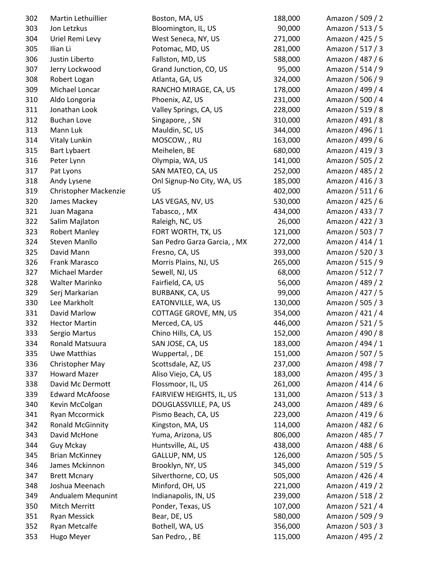| 302 | Martin Lethuillier      | Boston, MA, US                  | 188,000 | Amazon / 509 / 2 |
|-----|-------------------------|---------------------------------|---------|------------------|
| 303 | Jon Letzkus             | Bloomington, IL, US             | 90,000  | Amazon / 513 / 5 |
| 304 | Uriel Remi Levy         | West Seneca, NY, US             | 271,000 | Amazon / 425 / 5 |
| 305 | Ilian Li                | Potomac, MD, US                 | 281,000 | Amazon / 517 / 3 |
| 306 | Justin Liberto          | Fallston, MD, US                | 588,000 | Amazon / 487 / 6 |
| 307 | Jerry Lockwood          | Grand Junction, CO, US          | 95,000  | Amazon / 514 / 9 |
| 308 | Robert Logan            | Atlanta, GA, US                 | 324,000 | Amazon / 506 / 9 |
| 309 | Michael Loncar          | RANCHO MIRAGE, CA, US           | 178,000 | Amazon / 499 / 4 |
| 310 | Aldo Longoria           | Phoenix, AZ, US                 | 231,000 | Amazon / 500 / 4 |
| 311 | Jonathan Look           | Valley Springs, CA, US          | 228,000 | Amazon / 519 / 8 |
| 312 | <b>Buchan Love</b>      | Singapore, , SN                 | 310,000 | Amazon / 491 / 8 |
| 313 | Mann Luk                | Mauldin, SC, US                 | 344,000 | Amazon / 496 / 1 |
| 314 | Vitaly Lunkin           | MOSCOW, , RU                    | 163,000 | Amazon / 499 / 6 |
| 315 | <b>Bart Lybaert</b>     | Meihelen, BE                    | 680,000 | Amazon / 419 / 3 |
| 316 | Peter Lynn              | Olympia, WA, US                 | 141,000 | Amazon / 505 / 2 |
| 317 | Pat Lyons               | SAN MATEO, CA, US               | 252,000 | Amazon / 485 / 2 |
| 318 | Andy Lysene             | Onl Signup-No City, WA, US      | 185,000 | Amazon / 416 / 3 |
| 319 | Christopher Mackenzie   | US                              | 402,000 | Amazon / 511 / 6 |
| 320 | James Mackey            | LAS VEGAS, NV, US               | 530,000 | Amazon / 425 / 6 |
| 321 | Juan Magana             | Tabasco, , MX                   | 434,000 | Amazon / 433 / 7 |
| 322 | Salim Majlaton          | Raleigh, NC, US                 | 26,000  | Amazon / 422 / 3 |
| 323 | <b>Robert Manley</b>    | FORT WORTH, TX, US              | 121,000 | Amazon / 503 / 7 |
| 324 | <b>Steven Manllo</b>    | San Pedro Garza Garcia, , MX    | 272,000 | Amazon / 414 / 1 |
| 325 | David Mann              | Fresno, CA, US                  | 393,000 | Amazon / 520 / 3 |
| 326 | Frank Marasco           | Morris Plains, NJ, US           | 265,000 | Amazon / 515 / 9 |
| 327 | Michael Marder          | Sewell, NJ, US                  | 68,000  | Amazon / 512 / 7 |
| 328 | Walter Marinko          | Fairfield, CA, US               | 56,000  | Amazon / 489 / 2 |
| 329 | Serj Markarian          | BURBANK, CA, US                 | 99,000  | Amazon / 427 / 5 |
| 330 | Lee Markholt            | EATONVILLE, WA, US              | 130,000 | Amazon / 505 / 3 |
| 331 | David Marlow            | COTTAGE GROVE, MN, US           | 354,000 | Amazon / 421 / 4 |
| 332 | <b>Hector Martin</b>    | Merced, CA, US                  | 446,000 | Amazon / 521 / 5 |
| 333 | Sergio Martus           | Chino Hills, CA, US             | 152,000 | Amazon / 490 / 8 |
| 334 | Ronald Matsuura         | SAN JOSE, CA, US                | 183,000 | Amazon / 494 / 1 |
| 335 | Uwe Matthias            | Wuppertal, , DE                 | 151,000 | Amazon / 507 / 5 |
| 336 | Christopher May         | Scottsdale, AZ, US              | 237,000 | Amazon / 498 / 7 |
| 337 | <b>Howard Mazer</b>     | Aliso Viejo, CA, US             | 183,000 | Amazon / 495 / 3 |
| 338 | David Mc Dermott        | Flossmoor, IL, US               | 261,000 | Amazon / 414 / 6 |
| 339 | <b>Edward McAfoose</b>  | <b>FAIRVIEW HEIGHTS, IL, US</b> | 131,000 | Amazon / 513 / 3 |
| 340 | Kevin McColgan          | DOUGLASSVILLE, PA, US           | 243,000 | Amazon / 489 / 6 |
| 341 | Ryan Mccormick          | Pismo Beach, CA, US             | 223,000 | Amazon / 419 / 6 |
| 342 | <b>Ronald McGinnity</b> | Kingston, MA, US                | 114,000 | Amazon / 482 / 6 |
| 343 | David McHone            | Yuma, Arizona, US               | 806,000 | Amazon / 485 / 7 |
| 344 | Guy Mckay               | Huntsville, AL, US              | 438,000 | Amazon / 488 / 6 |
| 345 | <b>Brian McKinney</b>   | GALLUP, NM, US                  | 126,000 | Amazon / 505 / 5 |
| 346 | James Mckinnon          | Brooklyn, NY, US                | 345,000 | Amazon / 519 / 5 |
| 347 | <b>Brett Mcnary</b>     | Silverthorne, CO, US            | 505,000 | Amazon / 426 / 4 |
| 348 | Joshua Meenach          | Minford, OH, US                 | 221,000 | Amazon / 419 / 2 |
| 349 | Andualem Mequnint       | Indianapolis, IN, US            | 239,000 | Amazon / 518 / 2 |
| 350 | Mitch Merritt           | Ponder, Texas, US               | 107,000 | Amazon / 521 / 4 |
| 351 | <b>Ryan Messick</b>     | Bear, DE, US                    | 580,000 | Amazon / 509 / 9 |
| 352 | Ryan Metcalfe           | Bothell, WA, US                 | 356,000 | Amazon / 503 / 3 |
| 353 | Hugo Meyer              | San Pedro, , BE                 | 115,000 | Amazon / 495 / 2 |
|     |                         |                                 |         |                  |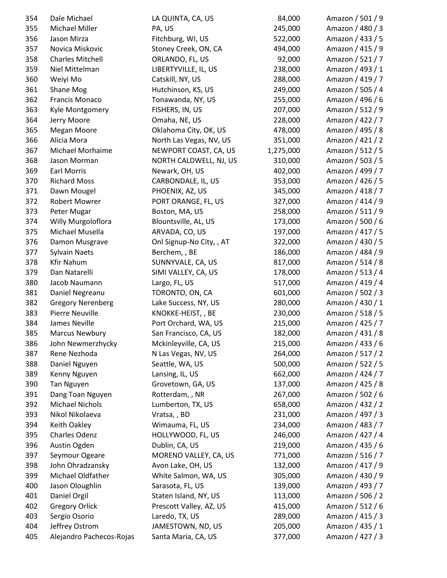| 354 | Dale Michael             | LA QUINTA, CA, US                         | 84,000    | Amazon / 501 / 9 |
|-----|--------------------------|-------------------------------------------|-----------|------------------|
| 355 | Michael Miller           | PA, US                                    | 245,000   | Amazon / 480 / 3 |
| 356 | Jason Mirza              | Fitchburg, WI, US                         | 522,000   | Amazon / 433 / 5 |
| 357 | Novica Miskovic          | Stoney Creek, ON, CA                      | 494,000   | Amazon / 415 / 9 |
| 358 | <b>Charles Mitchell</b>  | ORLANDO, FL, US                           | 92,000    | Amazon / 521 / 7 |
| 359 | Niel Mittelman           | LIBERTYVILLE, IL, US                      | 238,000   | Amazon / 493 / 1 |
| 360 | Weiyi Mo                 | Catskill, NY, US                          | 288,000   | Amazon / 419 / 7 |
| 361 | Shane Mog                | Hutchinson, KS, US                        | 249,000   | Amazon / 505 / 4 |
| 362 | Francis Monaco           | Tonawanda, NY, US                         | 255,000   | Amazon / 496 / 6 |
| 363 | Kyle Montgomery          | FISHERS, IN, US                           | 207,000   | Amazon / 512 / 9 |
| 364 | Jerry Moore              | Omaha, NE, US                             | 228,000   | Amazon / 422 / 7 |
| 365 | Megan Moore              | Oklahoma City, OK, US                     | 478,000   | Amazon / 495 / 8 |
| 366 | Alicia Mora              | North Las Vegas, NV, US                   | 351,000   | Amazon / 421 / 2 |
| 367 | Michael Morhaime         | NEWPORT COAST, CA, US                     | 1,275,000 | Amazon / 512 / 5 |
| 368 | Jason Morman             | NORTH CALDWELL, NJ, US                    | 310,000   | Amazon / 503 / 5 |
| 369 | <b>Earl Morris</b>       | Newark, OH, US                            | 402,000   | Amazon / 499 / 7 |
| 370 | <b>Richard Moss</b>      | CARBONDALE, IL, US                        | 353,000   | Amazon / 426 / 5 |
| 371 | Dawn Mougel              | PHOENIX, AZ, US                           | 345,000   | Amazon / 418 / 7 |
| 372 | <b>Robert Mowrer</b>     | PORT ORANGE, FL, US                       | 327,000   | Amazon / 414 / 9 |
| 373 | Peter Mugar              | Boston, MA, US                            | 258,000   | Amazon / 511 / 9 |
| 374 | Willy Murgoloflora       | Blountsville, AL, US                      | 173,000   | Amazon / 500 / 6 |
| 375 | Michael Musella          | ARVADA, CO, US                            | 197,000   | Amazon / 417 / 5 |
| 376 | Damon Musgrave           | Onl Signup-No City,, AT                   | 322,000   | Amazon / 430 / 5 |
| 377 | <b>Sylvain Naets</b>     | Berchem, , BE                             | 186,000   | Amazon / 484 / 9 |
| 378 | Kfir Nahum               | SUNNYVALE, CA, US                         | 817,000   | Amazon / 514 / 8 |
| 379 | Dan Natarelli            | SIMI VALLEY, CA, US                       | 178,000   | Amazon / 513 / 4 |
| 380 | Jacob Naumann            | Largo, FL, US                             | 517,000   | Amazon / 419 / 4 |
| 381 | Daniel Negreanu          | TORONTO, ON, CA                           | 601,000   | Amazon / 502 / 3 |
| 382 | <b>Gregory Nerenberg</b> | Lake Success, NY, US                      | 280,000   | Amazon / 430 / 1 |
| 383 | Pierre Neuville          | KNOKKE-HEIST, , BE                        | 230,000   | Amazon / 518 / 5 |
| 384 | James Neville            | Port Orchard, WA, US                      | 215,000   | Amazon / 425 / 7 |
| 385 | <b>Marcus Newbury</b>    | San Francisco, CA, US                     | 182,000   | Amazon / 431 / 8 |
| 386 | John Newmerzhycky        | Mckinleyville, CA, US                     | 215,000   | Amazon / 433 / 6 |
| 387 | Rene Nezhoda             | N Las Vegas, NV, US                       | 264,000   | Amazon / 517 / 2 |
| 388 | Daniel Nguyen            | Seattle, WA, US                           | 500,000   | Amazon / 522 / 5 |
| 389 | Kenny Nguyen             | Lansing, IL, US                           | 662,000   | Amazon / 424 / 7 |
| 390 | Tan Nguyen               | Grovetown, GA, US                         | 137,000   | Amazon / 425 / 8 |
| 391 | Dang Toan Nguyen         | Rotterdam, , NR                           | 267,000   | Amazon / 502 / 6 |
| 392 | <b>Michael Nichols</b>   | Lumberton, TX, US                         | 658,000   | Amazon / 432 / 2 |
| 393 | Nikol Nikolaeva          | Vratsa,, BD                               | 231,000   | Amazon / 497 / 3 |
| 394 | Keith Oakley             | Wimauma, FL, US                           | 234,000   | Amazon / 483 / 7 |
| 395 | Charles Odenz            | HOLLYWOOD, FL, US                         | 246,000   | Amazon / 427 / 4 |
| 396 | Austin Ogden             | Dublin, CA, US                            | 219,000   | Amazon / 435 / 6 |
| 397 | Seymour Ogeare           | MORENO VALLEY, CA, US                     | 771,000   | Amazon / 516 / 7 |
| 398 | John Ohradzansky         | Avon Lake, OH, US                         | 132,000   | Amazon / 417 / 9 |
| 399 | Michael Oldfather        | White Salmon, WA, US                      | 305,000   | Amazon / 430 / 9 |
| 400 | Jason Oloughlin          |                                           | 139,000   | Amazon / 493 / 7 |
| 401 | Daniel Orgil             | Sarasota, FL, US<br>Staten Island, NY, US | 113,000   | Amazon / 506 / 2 |
| 402 | <b>Gregory Orlick</b>    | Prescott Valley, AZ, US                   | 415,000   | Amazon / 512 / 6 |
| 403 | Sergio Osorio            | Laredo, TX, US                            | 289,000   | Amazon / 415 / 3 |
| 404 | Jeffrey Ostrom           | JAMESTOWN, ND, US                         | 205,000   | Amazon / 435 / 1 |
| 405 | Alejandro Pachecos-Rojas | Santa Maria, CA, US                       | 377,000   | Amazon / 427 / 3 |
|     |                          |                                           |           |                  |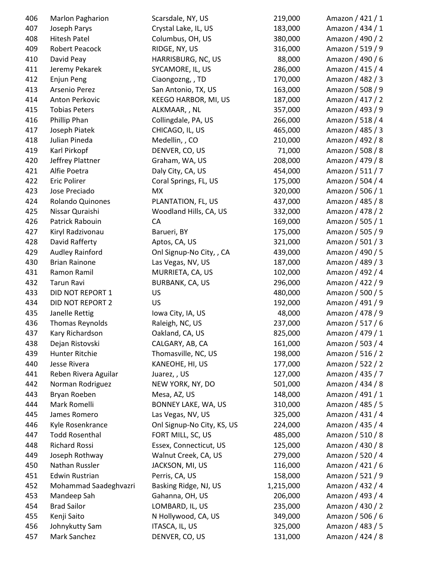| 406 | Marlon Pagharion       | Scarsdale, NY, US          | 219,000   | Amazon / 421 / 1 |
|-----|------------------------|----------------------------|-----------|------------------|
| 407 | Joseph Parys           | Crystal Lake, IL, US       | 183,000   | Amazon / 434 / 1 |
| 408 | <b>Hitesh Patel</b>    | Columbus, OH, US           | 380,000   | Amazon / 490 / 2 |
| 409 | Robert Peacock         | RIDGE, NY, US              | 316,000   | Amazon / 519 / 9 |
| 410 | David Peay             | HARRISBURG, NC, US         | 88,000    | Amazon / 490 / 6 |
| 411 | Jeremy Pekarek         | SYCAMORE, IL, US           | 286,000   | Amazon / 415 / 4 |
| 412 | Enjun Peng             | Ciaongozng, , TD           | 170,000   | Amazon / 482 / 3 |
| 413 | Arsenio Perez          | San Antonio, TX, US        | 163,000   | Amazon / 508 / 9 |
| 414 | Anton Perkovic         | KEEGO HARBOR, MI, US       | 187,000   | Amazon / 417 / 2 |
| 415 | <b>Tobias Peters</b>   | ALKMAAR, , NL              | 357,000   | Amazon / 493 / 9 |
| 416 | Phillip Phan           | Collingdale, PA, US        | 266,000   | Amazon / 518 / 4 |
| 417 | Joseph Piatek          | CHICAGO, IL, US            | 465,000   | Amazon / 485 / 3 |
| 418 | Julian Pineda          | Medellin, , CO             | 210,000   | Amazon / 492 / 8 |
| 419 | Karl Pirkopf           | DENVER, CO, US             | 71,000    | Amazon / 508 / 8 |
| 420 | Jeffrey Plattner       | Graham, WA, US             | 208,000   | Amazon / 479 / 8 |
| 421 | Alfie Poetra           | Daly City, CA, US          | 454,000   | Amazon / 511 / 7 |
| 422 | <b>Eric Polirer</b>    | Coral Springs, FL, US      | 175,000   | Amazon / 504 / 4 |
| 423 | Jose Preciado          | MX                         | 320,000   | Amazon / 506 / 1 |
| 424 | Rolando Quinones       | PLANTATION, FL, US         | 437,000   | Amazon / 485 / 8 |
| 425 | Nissar Quraishi        | Woodland Hills, CA, US     | 332,000   | Amazon / 478 / 2 |
| 426 | Patrick Rabouin        | CA                         | 169,000   | Amazon / 505 / 1 |
| 427 | Kiryl Radzivonau       | Barueri, BY                | 175,000   | Amazon / 505 / 9 |
| 428 | David Rafferty         | Aptos, CA, US              | 321,000   | Amazon / 501 / 3 |
| 429 | <b>Audley Rainford</b> | Onl Signup-No City, , CA   | 439,000   | Amazon / 490 / 5 |
| 430 | <b>Brian Rainone</b>   | Las Vegas, NV, US          | 187,000   | Amazon / 489 / 3 |
| 431 | Ramon Ramil            | MURRIETA, CA, US           | 102,000   | Amazon / 492 / 4 |
| 432 | Tarun Ravi             | BURBANK, CA, US            | 296,000   | Amazon / 422 / 9 |
| 433 | DID NOT REPORT 1       | <b>US</b>                  | 480,000   | Amazon / 500 / 5 |
| 434 | DID NOT REPORT 2       | <b>US</b>                  | 192,000   | Amazon / 491 / 9 |
| 435 | Janelle Rettig         | Iowa City, IA, US          | 48,000    | Amazon / 478 / 9 |
| 436 | <b>Thomas Reynolds</b> | Raleigh, NC, US            | 237,000   | Amazon / 517 / 6 |
| 437 | Kary Richardson        | Oakland, CA, US            | 825,000   | Amazon / 479 / 1 |
| 438 | Dejan Ristovski        | CALGARY, AB, CA            | 161,000   | Amazon / 503 / 4 |
| 439 | Hunter Ritchie         | Thomasville, NC, US        | 198,000   | Amazon / 516 / 2 |
| 440 | Jesse Rivera           | KANEOHE, HI, US            | 177,000   | Amazon / 522 / 2 |
| 441 | Reben Rivera Aguilar   | Juarez,, US                | 127,000   | Amazon / 435 / 7 |
| 442 | Norman Rodriguez       | NEW YORK, NY, DO           | 501,000   | Amazon / 434 / 8 |
| 443 | Bryan Roeben           | Mesa, AZ, US               | 148,000   | Amazon / 491 / 1 |
| 444 | Mark Romelli           | BONNEY LAKE, WA, US        | 310,000   | Amazon / 485 / 5 |
| 445 | James Romero           | Las Vegas, NV, US          | 325,000   | Amazon / 431 / 4 |
| 446 | Kyle Rosenkrance       | Onl Signup-No City, KS, US | 224,000   | Amazon / 435 / 4 |
| 447 | <b>Todd Rosenthal</b>  | FORT MILL, SC, US          | 485,000   | Amazon / 510 / 8 |
| 448 | Richard Rossi          | Essex, Connecticut, US     | 125,000   | Amazon / 430 / 8 |
| 449 | Joseph Rothway         | Walnut Creek, CA, US       | 279,000   | Amazon / 520 / 4 |
| 450 | Nathan Russler         | JACKSON, MI, US            | 116,000   | Amazon / 421 / 6 |
| 451 | <b>Edwin Rustrian</b>  | Perris, CA, US             | 158,000   | Amazon / 521 / 9 |
| 452 | Mohammad Saadeghvazri  | Basking Ridge, NJ, US      | 1,215,000 | Amazon / 432 / 4 |
| 453 | Mandeep Sah            | Gahanna, OH, US            | 206,000   | Amazon / 493 / 4 |
| 454 | <b>Brad Sailor</b>     | LOMBARD, IL, US            | 235,000   | Amazon / 430 / 2 |
| 455 | Kenji Saito            | N Hollywood, CA, US        | 349,000   | Amazon / 506 / 6 |
| 456 | Johnykutty Sam         | ITASCA, IL, US             | 325,000   | Amazon / 483 / 5 |
| 457 | Mark Sanchez           | DENVER, CO, US             | 131,000   | Amazon / 424 / 8 |
|     |                        |                            |           |                  |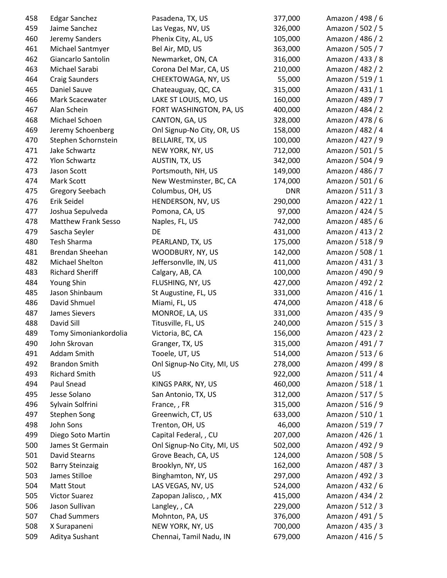| 458 | <b>Edgar Sanchez</b>       | Pasadena, TX, US           | 377,000    | Amazon / 498 / 6 |
|-----|----------------------------|----------------------------|------------|------------------|
| 459 | Jaime Sanchez              | Las Vegas, NV, US          | 326,000    | Amazon / 502 / 5 |
| 460 | Jeremy Sanders             | Phenix City, AL, US        | 105,000    | Amazon / 486 / 2 |
| 461 | Michael Santmyer           | Bel Air, MD, US            | 363,000    | Amazon / 505 / 7 |
| 462 | Giancarlo Santolin         | Newmarket, ON, CA          | 316,000    | Amazon / 433 / 8 |
| 463 | Michael Sarabi             | Corona Del Mar, CA, US     | 210,000    | Amazon / 482 / 2 |
| 464 | <b>Craig Saunders</b>      | CHEEKTOWAGA, NY, US        | 55,000     | Amazon / 519 / 1 |
| 465 | Daniel Sauve               | Chateauguay, QC, CA        | 315,000    | Amazon / 431 / 1 |
| 466 | Mark Scacewater            | LAKE ST LOUIS, MO, US      | 160,000    | Amazon / 489 / 7 |
| 467 | Alan Schein                | FORT WASHINGTON, PA, US    | 400,000    | Amazon / 484 / 2 |
| 468 | Michael Schoen             | CANTON, GA, US             | 328,000    | Amazon / 478 / 6 |
| 469 | Jeremy Schoenberg          | Onl Signup-No City, OR, US | 158,000    | Amazon / 482 / 4 |
| 470 | Stephen Schornstein        | BELLAIRE, TX, US           | 100,000    | Amazon / 427 / 9 |
| 471 | Jake Schwartz              | NEW YORK, NY, US           | 712,000    | Amazon / 501 / 5 |
| 472 | Ylon Schwartz              | AUSTIN, TX, US             | 342,000    | Amazon / 504 / 9 |
| 473 | Jason Scott                | Portsmouth, NH, US         | 149,000    | Amazon / 486 / 7 |
| 474 | Mark Scott                 | New Westminster, BC, CA    | 174,000    | Amazon / 501 / 6 |
| 475 | Gregory Seebach            | Columbus, OH, US           | <b>DNR</b> | Amazon / 511 / 3 |
| 476 | Erik Seidel                | HENDERSON, NV, US          | 290,000    | Amazon / 422 / 1 |
| 477 | Joshua Sepulveda           | Pomona, CA, US             | 97,000     | Amazon / 424 / 5 |
| 478 | <b>Matthew Frank Sesso</b> | Naples, FL, US             | 742,000    | Amazon / 485 / 6 |
| 479 | Sascha Seyler              | DE                         | 431,000    | Amazon / 413 / 2 |
| 480 | Tesh Sharma                | PEARLAND, TX, US           | 175,000    | Amazon / 518 / 9 |
| 481 | Brendan Sheehan            | WOODBURY, NY, US           | 142,000    | Amazon / 508 / 1 |
| 482 | Michael Shelton            | Jeffersonvlle, IN, US      | 411,000    | Amazon / 431 / 3 |
| 483 | <b>Richard Sheriff</b>     | Calgary, AB, CA            | 100,000    | Amazon / 490 / 9 |
| 484 | Young Shin                 | FLUSHING, NY, US           | 427,000    | Amazon / 492 / 2 |
| 485 | Jason Shinbaum             | St Augustine, FL, US       | 331,000    | Amazon / 416 / 1 |
| 486 | David Shmuel               | Miami, FL, US              | 474,000    | Amazon / 418 / 6 |
| 487 | James Sievers              | MONROE, LA, US             | 331,000    | Amazon / 435 / 9 |
| 488 | David Sill                 | Titusville, FL, US         | 240,000    | Amazon / 515 / 3 |
| 489 | Tomy Simoniankordolia      | Victoria, BC, CA           | 156,000    | Amazon / 423 / 2 |
| 490 | John Skrovan               | Granger, TX, US            | 315,000    | Amazon / 491 / 7 |
| 491 | Addam Smith                | Tooele, UT, US             | 514,000    | Amazon / 513 / 6 |
| 492 | <b>Brandon Smith</b>       | Onl Signup-No City, MI, US | 278,000    | Amazon / 499 / 8 |
| 493 | <b>Richard Smith</b>       | US                         | 922,000    | Amazon / 511 / 4 |
| 494 | Paul Snead                 | KINGS PARK, NY, US         | 460,000    | Amazon / 518 / 1 |
| 495 | Jesse Solano               | San Antonio, TX, US        | 312,000    | Amazon / 517 / 5 |
| 496 | Sylvain Solfrini           | France, , FR               | 315,000    | Amazon / 516 / 9 |
| 497 | <b>Stephen Song</b>        | Greenwich, CT, US          | 633,000    | Amazon / 510 / 1 |
| 498 | John Sons                  | Trenton, OH, US            | 46,000     | Amazon / 519 / 7 |
| 499 | Diego Soto Martin          | Capital Federal, , CU      | 207,000    | Amazon / 426 / 1 |
| 500 | James St Germain           | Onl Signup-No City, MI, US | 502,000    | Amazon / 492 / 9 |
| 501 | David Stearns              | Grove Beach, CA, US        | 124,000    | Amazon / 508 / 5 |
| 502 | <b>Barry Steinzaig</b>     | Brooklyn, NY, US           | 162,000    | Amazon / 487 / 3 |
| 503 | James Stilloe              | Binghamton, NY, US         | 297,000    | Amazon / 492 / 3 |
| 504 | Matt Stout                 | LAS VEGAS, NV, US          | 524,000    | Amazon / 432 / 6 |
| 505 | <b>Victor Suarez</b>       | Zapopan Jalisco, , MX      | 415,000    | Amazon / 434 / 2 |
| 506 | Jason Sullivan             | Langley, , CA              | 229,000    | Amazon / 512 / 3 |
| 507 | <b>Chad Summers</b>        | Mohnton, PA, US            | 376,000    | Amazon / 491 / 5 |
| 508 | X Surapaneni               | NEW YORK, NY, US           | 700,000    | Amazon / 435 / 3 |
| 509 | Aditya Sushant             | Chennai, Tamil Nadu, IN    | 679,000    | Amazon / 416 / 5 |
|     |                            |                            |            |                  |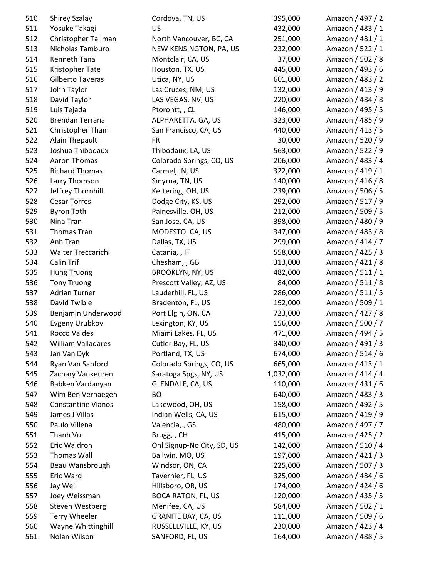| 510        | <b>Shirey Szalay</b>                    | Cordova, TN, US                              | 395,000            | Amazon / 497 / 2 |
|------------|-----------------------------------------|----------------------------------------------|--------------------|------------------|
| 511        | Yosuke Takagi                           | US                                           | 432,000            | Amazon / 483 / 1 |
| 512        | Christopher Tallman                     | North Vancouver, BC, CA                      | 251,000            | Amazon / 481 / 1 |
| 513        | Nicholas Tamburo                        | NEW KENSINGTON, PA, US                       | 232,000            | Amazon / 522 / 1 |
| 514        | Kenneth Tana                            | Montclair, CA, US                            | 37,000             | Amazon / 502 / 8 |
| 515        | Kristopher Tate                         | Houston, TX, US                              | 445,000            | Amazon / 493 / 6 |
| 516        | Gilberto Taveras                        | Utica, NY, US                                | 601,000            | Amazon / 483 / 2 |
| 517        | John Taylor                             | Las Cruces, NM, US                           | 132,000            | Amazon / 413 / 9 |
| 518        | David Taylor                            | LAS VEGAS, NV, US                            | 220,000            | Amazon / 484 / 8 |
| 519        | Luis Tejada                             | Ptorontt, , CL                               | 146,000            | Amazon / 495 / 5 |
| 520        | Brendan Terrana                         | ALPHARETTA, GA, US                           | 323,000            | Amazon / 485 / 9 |
| 521        | Christopher Tham                        | San Francisco, CA, US                        | 440,000            | Amazon / 413 / 5 |
| 522        | Alain Thepault                          | <b>FR</b>                                    | 30,000             | Amazon / 520 / 9 |
| 523        | Joshua Thibodaux                        | Thibodaux, LA, US                            | 563,000            | Amazon / 522 / 9 |
| 524        | Aaron Thomas                            | Colorado Springs, CO, US                     | 206,000            | Amazon / 483 / 4 |
| 525        | <b>Richard Thomas</b>                   | Carmel, IN, US                               | 322,000            | Amazon / 419 / 1 |
| 526        | Larry Thomson                           | Smyrna, TN, US                               | 140,000            | Amazon / 416 / 8 |
| 527        | Jeffrey Thornhill                       | Kettering, OH, US                            | 239,000            | Amazon / 506 / 5 |
| 528        | <b>Cesar Torres</b>                     | Dodge City, KS, US                           | 292,000            | Amazon / 517 / 9 |
| 529        | <b>Byron Toth</b>                       | Painesville, OH, US                          | 212,000            | Amazon / 509 / 5 |
| 530        | Nina Tran                               | San Jose, CA, US                             | 398,000            | Amazon / 480 / 9 |
| 531        | Thomas Tran                             | MODESTO, CA, US                              | 347,000            | Amazon / 483 / 8 |
| 532        | Anh Tran                                | Dallas, TX, US                               | 299,000            | Amazon / 414 / 7 |
| 533        | Walter Treccarichi                      | Catania, , IT                                | 558,000            | Amazon / 425 / 3 |
| 534        | Calin Trif                              | Chesham, , GB                                | 313,000            | Amazon / 421 / 8 |
| 535        | <b>Hung Truong</b>                      | <b>BROOKLYN, NY, US</b>                      | 482,000            | Amazon / 511 / 1 |
| 536        | <b>Tony Truong</b>                      | Prescott Valley, AZ, US                      | 84,000             | Amazon / 511 / 8 |
| 537        | <b>Adrian Turner</b>                    | Lauderhill, FL, US                           | 286,000            | Amazon / 511 / 5 |
| 538        | David Twible                            | Bradenton, FL, US                            | 192,000            | Amazon / 509 / 1 |
| 539        | Benjamin Underwood                      | Port Elgin, ON, CA                           | 723,000            | Amazon / 427 / 8 |
| 540        | Evgeny Urubkov                          | Lexington, KY, US                            | 156,000            | Amazon / 500 / 7 |
| 541        | <b>Rocco Valdes</b>                     | Miami Lakes, FL, US                          | 471,000            | Amazon / 494 / 5 |
| 542        | William Valladares                      | Cutler Bay, FL, US                           | 340,000            | Amazon / 491 / 3 |
| 543        | Jan Van Dyk                             | Portland, TX, US                             | 674,000            | Amazon / 514 / 6 |
| 544        | Ryan Van Sanford                        | Colorado Springs, CO, US                     | 665,000            | Amazon / 413 / 1 |
| 545        | Zachary Vankeuren                       | Saratoga Spgs, NY, US                        | 1,032,000          | Amazon / 414 / 4 |
| 546        | Babken Vardanyan                        | GLENDALE, CA, US                             | 110,000            | Amazon / 431 / 6 |
| 547        | Wim Ben Verhaegen                       | <b>BO</b>                                    | 640,000            | Amazon / 483 / 3 |
| 548        | <b>Constantine Vianos</b>               | Lakewood, OH, US                             | 158,000            | Amazon / 492 / 5 |
| 549        | James J Villas                          | Indian Wells, CA, US                         | 615,000            | Amazon / 419 / 9 |
| 550        | Paulo Villena                           | Valencia, , GS                               | 480,000            | Amazon / 497 / 7 |
| 551        | Thanh Vu                                | Brugg,, CH                                   | 415,000            | Amazon / 425 / 2 |
| 552        | Eric Waldron                            | Onl Signup-No City, SD, US                   | 142,000            | Amazon / 510 / 4 |
| 553        | Thomas Wall                             | Ballwin, MO, US                              | 197,000            | Amazon / 421 / 3 |
| 554        | Beau Wansbrough                         | Windsor, ON, CA                              | 225,000            | Amazon / 507 / 3 |
| 555        | Eric Ward                               | Tavernier, FL, US                            | 325,000            | Amazon / 484 / 6 |
|            |                                         |                                              |                    | Amazon / 424 / 6 |
| 556        | Jay Weil                                | Hillsboro, OR, US                            | 174,000<br>120,000 | Amazon / 435 / 5 |
| 557<br>558 | Joey Weissman<br><b>Steven Westberg</b> | <b>BOCA RATON, FL, US</b><br>Menifee, CA, US | 584,000            | Amazon / 502 / 1 |
| 559        | <b>Terry Wheeler</b>                    | <b>GRANITE BAY, CA, US</b>                   | 111,000            | Amazon / 509 / 6 |
| 560        | Wayne Whittinghill                      | RUSSELLVILLE, KY, US                         | 230,000            | Amazon / 423 / 4 |
| 561        | Nolan Wilson                            | SANFORD, FL, US                              | 164,000            | Amazon / 488 / 5 |
|            |                                         |                                              |                    |                  |